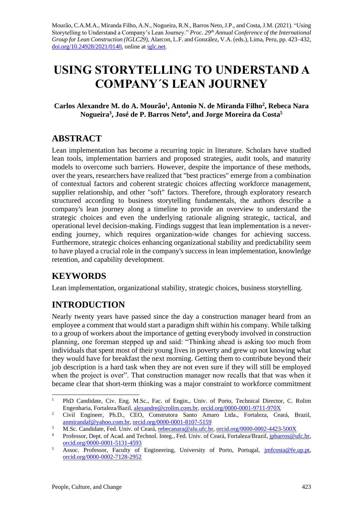Mourão, C.A.M.A., Miranda Filho, A.N., Nogueira, R.N., Barros Neto, J.P., and Costa, J.M. (2021). "Using Storytelling to Understand a Company's Lean Journey." *Proc. 29 th Annual Conference of the International Group for Lean Construction (IGLC29),* Alarcon, L.F. and González, V.A. (eds.)*,* Lima, Peru, pp. 423–432, [doi.org/10.24928/2021/0140,](https://doi.org/10.24928/2021/0140) online a[t iglc.net.](http://iglc.net/)

# **USING STORYTELLING TO UNDERSTAND A COMPANY´S LEAN JOURNEY**

**Carlos Alexandre M. do A. Mourão<sup>1</sup> , Antonio N. de Miranda Filho<sup>2</sup> , Rebeca Nara Nogueira<sup>3</sup> , José de P. Barros Neto<sup>4</sup> , and Jorge Moreira da Costa<sup>5</sup>**

# **ABSTRACT**

Lean implementation has become a recurring topic in literature. Scholars have studied lean tools, implementation barriers and proposed strategies, audit tools, and maturity models to overcome such barriers. However, despite the importance of these methods, over the years, researchers have realized that "best practices" emerge from a combination of contextual factors and coherent strategic choices affecting workforce management, supplier relationship, and other "soft" factors. Therefore, through exploratory research structured according to business storytelling fundamentals, the authors describe a company's lean journey along a timeline to provide an overview to understand the strategic choices and even the underlying rationale aligning strategic, tactical, and operational level decision-making. Findings suggest that lean implementation is a neverending journey, which requires organization-wide changes for achieving success. Furthermore, strategic choices enhancing organizational stability and predictability seem to have played a crucial role in the company's success in lean implementation, knowledge retention, and capability development.

# **KEYWORDS**

Lean implementation, organizational stability, strategic choices, business storytelling.

# **INTRODUCTION**

Nearly twenty years have passed since the day a construction manager heard from an employee a comment that would start a paradigm shift within his company. While talking to a group of workers about the importance of getting everybody involved in construction planning, one foreman stepped up and said: "Thinking ahead is asking too much from individuals that spent most of their young lives in poverty and grew up not knowing what they would have for breakfast the next morning. Getting them to contribute beyond their job description is a hard task when they are not even sure if they will still be employed when the project is over". That construction manager now recalls that that was when it became clear that short-term thinking was a major constraint to workforce commitment

<sup>&</sup>lt;sup>1</sup> PhD Candidate, Civ. Eng. M.Sc., Fac. of Engin., Univ. of Porto, Technical Director, C. Rolim Engenharia, Fortaleza/Bazil[, alexandre@crolim.com.br,](mailto:alexandre@crolim.com.br) [orcid.org/0000-0001-9711-970X](https://orcid.org/0000-0001-9711-970X)

<sup>&</sup>lt;sup>2</sup> Civil Engineer, Ph.D., CEO, Construtora Santo Amaro Ltda., Fortaleza, Ceará, Brazil, [anmirandaf@yahoo.com.br,](mailto:anmirandaf@yahoo.com.br) [orcid.org/0000-0001-8107-5159](https://orcid.org/0000-0001-8107-5159)

<sup>3</sup> M.Sc. Candidate, Fed. Univ. of Ceará, [rebecanara@alu.ufc.br,](mailto:rebecanara@alu.ufc.br) [orcid.org/0000-0002-4423-500X](https://orcid.org/0000-0002-4423-500X)

<sup>&</sup>lt;sup>4</sup> Professor, Dept. of Acad. and Technol. Integ., Fed. Univ. of Ceará, Fortaleza/Brazil, [jpbarros@ufc.br,](mailto:jpbarros@ufc.br) [orcid.org/0000-0001-5131-4593](https://orcid.org/0000-0001-5131-4593)

 $\overline{\text{0}}$  Assoc. Professor, Faculty of Engineering, University of Porto, Portugal, imfcosta@fe.up.pt, [orcid.org/0000-0002-7128-2952](https://orcid.org/0000-0002-7128-2952)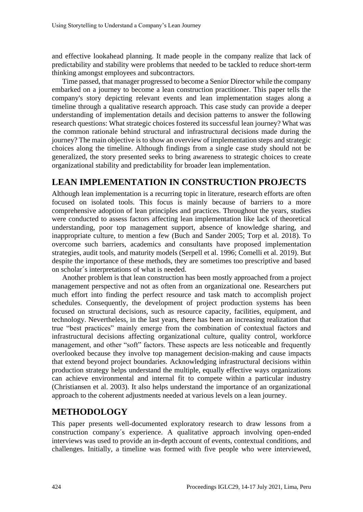and effective lookahead planning. It made people in the company realize that lack of predictability and stability were problems that needed to be tackled to reduce short-term thinking amongst employees and subcontractors.

Time passed, that manager progressed to become a Senior Director while the company embarked on a journey to become a lean construction practitioner. This paper tells the company's story depicting relevant events and lean implementation stages along a timeline through a qualitative research approach. This case study can provide a deeper understanding of implementation details and decision patterns to answer the following research questions: What strategic choices fostered its successful lean journey? What was the common rationale behind structural and infrastructural decisions made during the journey? The main objective is to show an overview of implementation steps and strategic choices along the timeline. Although findings from a single case study should not be generalized, the story presented seeks to bring awareness to strategic choices to create organizational stability and predictability for broader lean implementation.

### **LEAN IMPLEMENTATION IN CONSTRUCTION PROJECTS**

Although lean implementation is a recurring topic in literature, research efforts are often focused on isolated tools. This focus is mainly because of barriers to a more comprehensive adoption of lean principles and practices. Throughout the years, studies were conducted to assess factors affecting lean implementation like lack of theoretical understanding, poor top management support, absence of knowledge sharing, and inappropriate culture, to mention a few (Buch and Sander 2005; Torp et al. 2018). To overcome such barriers, academics and consultants have proposed implementation strategies, audit tools, and maturity models (Serpell et al. 1996; Comelli et al. 2019). But despite the importance of these methods, they are sometimes too prescriptive and based on scholar´s interpretations of what is needed.

Another problem is that lean construction has been mostly approached from a project management perspective and not as often from an organizational one. Researchers put much effort into finding the perfect resource and task match to accomplish project schedules. Consequently, the development of project production systems has been focused on structural decisions, such as resource capacity, facilities, equipment, and technology. Nevertheless, in the last years, there has been an increasing realization that true "best practices" mainly emerge from the combination of contextual factors and infrastructural decisions affecting organizational culture, quality control, workforce management, and other "soft" factors. These aspects are less noticeable and frequently overlooked because they involve top management decision-making and cause impacts that extend beyond project boundaries. Acknowledging infrastructural decisions within production strategy helps understand the multiple, equally effective ways organizations can achieve environmental and internal fit to compete within a particular industry (Christiansen et al. 2003). It also helps understand the importance of an organizational approach to the coherent adjustments needed at various levels on a lean journey.

# **METHODOLOGY**

This paper presents well-documented exploratory research to draw lessons from a construction company´s experience. A qualitative approach involving open-ended interviews was used to provide an in-depth account of events, contextual conditions, and challenges. Initially, a timeline was formed with five people who were interviewed,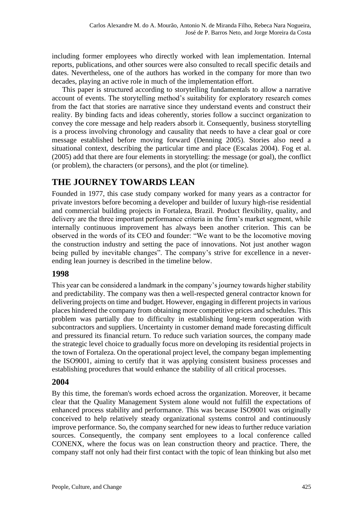including former employees who directly worked with lean implementation. Internal reports, publications, and other sources were also consulted to recall specific details and dates. Nevertheless, one of the authors has worked in the company for more than two decades, playing an active role in much of the implementation effort.

This paper is structured according to storytelling fundamentals to allow a narrative account of events. The storytelling method's suitability for exploratory research comes from the fact that stories are narrative since they understand events and construct their reality. By binding facts and ideas coherently, stories follow a succinct organization to convey the core message and help readers absorb it. Consequently, business storytelling is a process involving chronology and causality that needs to have a clear goal or core message established before moving forward (Denning 2005). Stories also need a situational context, describing the particular time and place (Escalas 2004). Fog et al. (2005) add that there are four elements in storytelling: the message (or goal), the conflict (or problem), the characters (or persons), and the plot (or timeline).

# **THE JOURNEY TOWARDS LEAN**

Founded in 1977, this case study company worked for many years as a contractor for private investors before becoming a developer and builder of luxury high-rise residential and commercial building projects in Fortaleza, Brazil. Product flexibility, quality, and delivery are the three important performance criteria in the firm's market segment, while internally continuous improvement has always been another criterion. This can be observed in the words of its CEO and founder: "We want to be the locomotive moving the construction industry and setting the pace of innovations. Not just another wagon being pulled by inevitable changes". The company's strive for excellence in a neverending lean journey is described in the timeline below.

### **1998**

This year can be considered a landmark in the company's journey towards higher stability and predictability. The company was then a well-respected general contractor known for delivering projects on time and budget. However, engaging in different projects in various places hindered the company from obtaining more competitive prices and schedules. This problem was partially due to difficulty in establishing long-term cooperation with subcontractors and suppliers. Uncertainty in customer demand made forecasting difficult and pressured its financial return. To reduce such variation sources, the company made the strategic level choice to gradually focus more on developing its residential projects in the town of Fortaleza. On the operational project level, the company began implementing the ISO9001, aiming to certify that it was applying consistent business processes and establishing procedures that would enhance the stability of all critical processes.

#### **2004**

By this time, the foreman's words echoed across the organization. Moreover, it became clear that the Quality Management System alone would not fulfill the expectations of enhanced process stability and performance. This was because ISO9001 was originally conceived to help relatively steady organizational systems control and continuously improve performance. So, the company searched for new ideas to further reduce variation sources. Consequently, the company sent employees to a local conference called CONENX, where the focus was on lean construction theory and practice. There, the company staff not only had their first contact with the topic of lean thinking but also met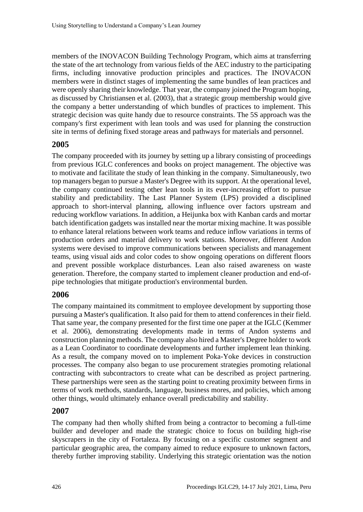members of the INOVACON Building Technology Program, which aims at transferring the state of the art technology from various fields of the AEC industry to the participating firms, including innovative production principles and practices. The INOVACON members were in distinct stages of implementing the same bundles of lean practices and were openly sharing their knowledge. That year, the company joined the Program hoping, as discussed by Christiansen et al. (2003), that a strategic group membership would give the company a better understanding of which bundles of practices to implement. This strategic decision was quite handy due to resource constraints. The 5S approach was the company's first experiment with lean tools and was used for planning the construction site in terms of defining fixed storage areas and pathways for materials and personnel.

#### **2005**

The company proceeded with its journey by setting up a library consisting of proceedings from previous IGLC conferences and books on project management. The objective was to motivate and facilitate the study of lean thinking in the company. Simultaneously, two top managers began to pursue a Master's Degree with its support. At the operational level, the company continued testing other lean tools in its ever-increasing effort to pursue stability and predictability. The Last Planner System (LPS) provided a disciplined approach to short-interval planning, allowing influence over factors upstream and reducing workflow variations. In addition, a Heijunka box with Kanban cards and mortar batch identification gadgets was installed near the mortar mixing machine. It was possible to enhance lateral relations between work teams and reduce inflow variations in terms of production orders and material delivery to work stations. Moreover, different Andon systems were devised to improve communications between specialists and management teams, using visual aids and color codes to show ongoing operations on different floors and prevent possible workplace disturbances. Lean also raised awareness on waste generation. Therefore, the company started to implement cleaner production and end-ofpipe technologies that mitigate production's environmental burden.

#### **2006**

The company maintained its commitment to employee development by supporting those pursuing a Master's qualification. It also paid for them to attend conferences in their field. That same year, the company presented for the first time one paper at the IGLC (Kemmer et al. 2006), demonstrating developments made in terms of Andon systems and construction planning methods. The company also hired a Master's Degree holder to work as a Lean Coordinator to coordinate developments and further implement lean thinking. As a result, the company moved on to implement Poka-Yoke devices in construction processes. The company also began to use procurement strategies promoting relational contracting with subcontractors to create what can be described as project partnering. These partnerships were seen as the starting point to creating proximity between firms in terms of work methods, standards, language, business mores, and policies, which among other things, would ultimately enhance overall predictability and stability.

#### **2007**

The company had then wholly shifted from being a contractor to becoming a full-time builder and developer and made the strategic choice to focus on building high-rise skyscrapers in the city of Fortaleza. By focusing on a specific customer segment and particular geographic area, the company aimed to reduce exposure to unknown factors, thereby further improving stability. Underlying this strategic orientation was the notion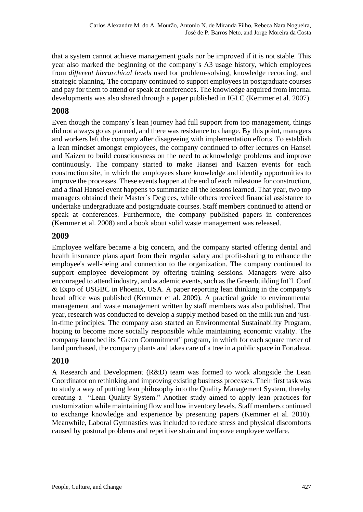that a system cannot achieve management goals nor be improved if it is not stable. This year also marked the beginning of the company´s A3 usage history, which employees from *different hierarchical levels* used for problem-solving, knowledge recording, and strategic planning. The company continued to support employees in postgraduate courses and pay for them to attend or speak at conferences. The knowledge acquired from internal developments was also shared through a paper published in IGLC (Kemmer et al. 2007).

### **2008**

Even though the company´s lean journey had full support from top management, things did not always go as planned, and there was resistance to change. By this point, managers and workers left the company after disagreeing with implementation efforts. To establish a lean mindset amongst employees, the company continued to offer lectures on Hansei and Kaizen to build consciousness on the need to acknowledge problems and improve continuously. The company started to make Hansei and Kaizen events for each construction site, in which the employees share knowledge and identify opportunities to improve the processes. These events happen at the end of each milestone for construction, and a final Hansei event happens to summarize all the lessons learned. That year, two top managers obtained their Master´s Degrees, while others received financial assistance to undertake undergraduate and postgraduate courses. Staff members continued to attend or speak at conferences. Furthermore, the company published papers in conferences (Kemmer et al. 2008) and a book about solid waste management was released.

### **2009**

Employee welfare became a big concern, and the company started offering dental and health insurance plans apart from their regular salary and profit-sharing to enhance the employee's well-being and connection to the organization. The company continued to support employee development by offering training sessions. Managers were also encouraged to attend industry, and academic events, such as the Greenbuilding Int'l. Conf. & Expo of USGBC in Phoenix, USA. A paper reporting lean thinking in the company's head office was published (Kemmer et al. 2009). A practical guide to environmental management and waste management written by staff members was also published. That year, research was conducted to develop a supply method based on the milk run and justin-time principles. The company also started an Environmental Sustainability Program, hoping to become more socially responsible while maintaining economic vitality. The company launched its "Green Commitment" program, in which for each square meter of land purchased, the company plants and takes care of a tree in a public space in Fortaleza.

#### **2010**

A Research and Development (R&D) team was formed to work alongside the Lean Coordinator on rethinking and improving existing business processes. Their first task was to study a way of putting lean philosophy into the Quality Management System, thereby creating a "Lean Quality System." Another study aimed to apply lean practices for customization while maintaining flow and low inventory levels. Staff members continued to exchange knowledge and experience by presenting papers (Kemmer et al. 2010). Meanwhile, Laboral Gymnastics was included to reduce stress and physical discomforts caused by postural problems and repetitive strain and improve employee welfare.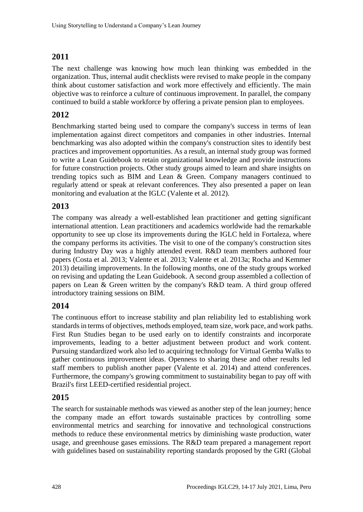### **2011**

The next challenge was knowing how much lean thinking was embedded in the organization. Thus, internal audit checklists were revised to make people in the company think about customer satisfaction and work more effectively and efficiently. The main objective was to reinforce a culture of continuous improvement. In parallel, the company continued to build a stable workforce by offering a private pension plan to employees.

### **2012**

Benchmarking started being used to compare the company's success in terms of lean implementation against direct competitors and companies in other industries. Internal benchmarking was also adopted within the company's construction sites to identify best practices and improvement opportunities. As a result, an internal study group was formed to write a Lean Guidebook to retain organizational knowledge and provide instructions for future construction projects. Other study groups aimed to learn and share insights on trending topics such as BIM and Lean & Green. Company managers continued to regularly attend or speak at relevant conferences. They also presented a paper on lean monitoring and evaluation at the IGLC (Valente et al. 2012).

### **2013**

The company was already a well-established lean practitioner and getting significant international attention. Lean practitioners and academics worldwide had the remarkable opportunity to see up close its improvements during the IGLC held in Fortaleza, where the company performs its activities. The visit to one of the company's construction sites during Industry Day was a highly attended event. R&D team members authored four papers (Costa et al. 2013; Valente et al. 2013; Valente et al. 2013a; Rocha and Kemmer 2013) detailing improvements. In the following months, one of the study groups worked on revising and updating the Lean Guidebook. A second group assembled a collection of papers on Lean & Green written by the company's R&D team. A third group offered introductory training sessions on BIM.

### **2014**

The continuous effort to increase stability and plan reliability led to establishing work standards in terms of objectives, methods employed, team size, work pace, and work paths. First Run Studies began to be used early on to identify constraints and incorporate improvements, leading to a better adjustment between product and work content. Pursuing standardized work also led to acquiring technology for Virtual Gemba Walks to gather continuous improvement ideas. Openness to sharing these and other results led staff members to publish another paper (Valente et al. 2014) and attend conferences. Furthermore, the company's growing commitment to sustainability began to pay off with Brazil's first LEED-certified residential project.

#### **2015**

The search for sustainable methods was viewed as another step of the lean journey; hence the company made an effort towards sustainable practices by controlling some environmental metrics and searching for innovative and technological constructions methods to reduce these environmental metrics by diminishing waste production, water usage, and greenhouse gases emissions. The R&D team prepared a management report with guidelines based on sustainability reporting standards proposed by the GRI (Global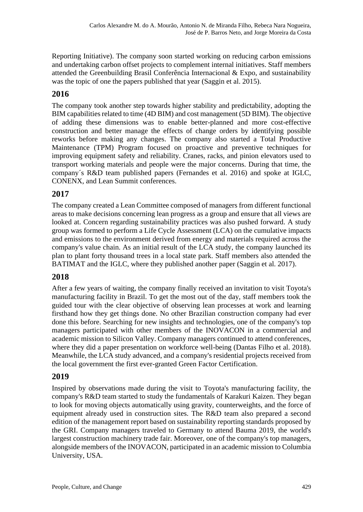Reporting Initiative). The company soon started working on reducing carbon emissions and undertaking carbon offset projects to complement internal initiatives. Staff members attended the Greenbuilding Brasil Conferência Internacional & Expo, and sustainability was the topic of one the papers published that year (Saggin et al. 2015).

### **2016**

The company took another step towards higher stability and predictability, adopting the BIM capabilities related to time (4D BIM) and cost management (5D BIM). The objective of adding these dimensions was to enable better-planned and more cost-effective construction and better manage the effects of change orders by identifying possible reworks before making any changes. The company also started a Total Productive Maintenance (TPM) Program focused on proactive and preventive techniques for improving equipment safety and reliability. Cranes, racks, and pinion elevators used to transport working materials and people were the major concerns. During that time, the company´s R&D team published papers (Fernandes et al. 2016) and spoke at IGLC, CONENX, and Lean Summit conferences.

### **2017**

The company created a Lean Committee composed of managers from different functional areas to make decisions concerning lean progress as a group and ensure that all views are looked at. Concern regarding sustainability practices was also pushed forward. A study group was formed to perform a Life Cycle Assessment (LCA) on the cumulative impacts and emissions to the environment derived from energy and materials required across the company's value chain. As an initial result of the LCA study, the company launched its plan to plant forty thousand trees in a local state park. Staff members also attended the BATIMAT and the IGLC, where they published another paper (Saggin et al. 2017).

### **2018**

After a few years of waiting, the company finally received an invitation to visit Toyota's manufacturing facility in Brazil. To get the most out of the day, staff members took the guided tour with the clear objective of observing lean processes at work and learning firsthand how they get things done. No other Brazilian construction company had ever done this before. Searching for new insights and technologies, one of the company's top managers participated with other members of the INOVACON in a commercial and academic mission to Silicon Valley. Company managers continued to attend conferences, where they did a paper presentation on workforce well-being (Dantas Filho et al. 2018). Meanwhile, the LCA study advanced, and a company's residential projects received from the local government the first ever-granted Green Factor Certification.

#### **2019**

Inspired by observations made during the visit to Toyota's manufacturing facility, the company's R&D team started to study the fundamentals of Karakuri Kaizen. They began to look for moving objects automatically using gravity, counterweights, and the force of equipment already used in construction sites. The R&D team also prepared a second edition of the management report based on sustainability reporting standards proposed by the GRI. Company managers traveled to Germany to attend Bauma 2019, the world's largest construction machinery trade fair. Moreover, one of the company's top managers, alongside members of the INOVACON, participated in an academic mission to Columbia University, USA.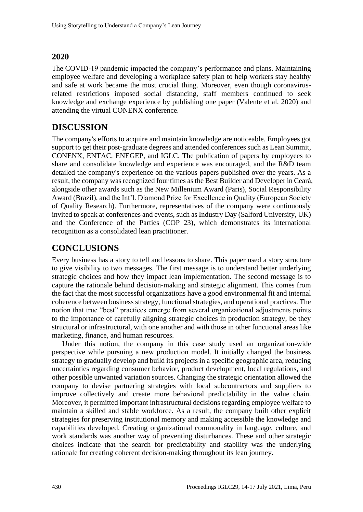### **2020**

The COVID-19 pandemic impacted the company's performance and plans. Maintaining employee welfare and developing a workplace safety plan to help workers stay healthy and safe at work became the most crucial thing. Moreover, even though coronavirusrelated restrictions imposed social distancing, staff members continued to seek knowledge and exchange experience by publishing one paper (Valente et al. 2020) and attending the virtual CONENX conference.

# **DISCUSSION**

The company's efforts to acquire and maintain knowledge are noticeable. Employees got support to get their post-graduate degrees and attended conferences such as Lean Summit, CONENX, ENTAC, ENEGEP, and IGLC. The publication of papers by employees to share and consolidate knowledge and experience was encouraged, and the R&D team detailed the company's experience on the various papers published over the years. As a result, the company was recognized four times as the Best Builder and Developer in Ceará, alongside other awards such as the New Millenium Award (Paris), Social Responsibility Award (Brazil), and the Int'l. Diamond Prize for Excellence in Quality (European Society of Quality Research). Furthermore, representatives of the company were continuously invited to speak at conferences and events, such as Industry Day (Salford University, UK) and the Conference of the Parties (COP 23), which demonstrates its international recognition as a consolidated lean practitioner.

# **CONCLUSIONS**

Every business has a story to tell and lessons to share. This paper used a story structure to give visibility to two messages. The first message is to understand better underlying strategic choices and how they impact lean implementation. The second message is to capture the rationale behind decision-making and strategic alignment. This comes from the fact that the most successful organizations have a good environmental fit and internal coherence between business strategy, functional strategies, and operational practices. The notion that true "best" practices emerge from several organizational adjustments points to the importance of carefully aligning strategic choices in production strategy, be they structural or infrastructural, with one another and with those in other functional areas like marketing, finance, and human resources.

Under this notion, the company in this case study used an organization-wide perspective while pursuing a new production model. It initially changed the business strategy to gradually develop and build its projects in a specific geographic area, reducing uncertainties regarding consumer behavior, product development, local regulations, and other possible unwanted variation sources. Changing the strategic orientation allowed the company to devise partnering strategies with local subcontractors and suppliers to improve collectively and create more behavioral predictability in the value chain. Moreover, it permitted important infrastructural decisions regarding employee welfare to maintain a skilled and stable workforce. As a result, the company built other explicit strategies for preserving institutional memory and making accessible the knowledge and capabilities developed. Creating organizational commonality in language, culture, and work standards was another way of preventing disturbances. These and other strategic choices indicate that the search for predictability and stability was the underlying rationale for creating coherent decision-making throughout its lean journey.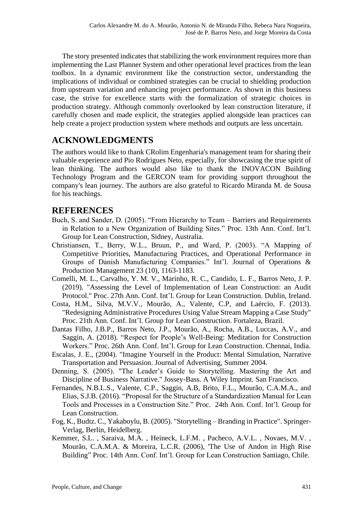The story presented indicates that stabilizing the work environment requires more than implementing the Last Planner System and other operational level practices from the lean toolbox. In a dynamic environment like the construction sector, understanding the implications of individual or combined strategies can be crucial to shielding production from upstream variation and enhancing project performance. As shown in this business case, the strive for excellence starts with the formalization of strategic choices in production strategy. Although commonly overlooked by lean construction literature, if carefully chosen and made explicit, the strategies applied alongside lean practices can help create a project production system where methods and outputs are less uncertain.

### **ACKNOWLEDGMENTS**

The authors would like to thank CRolim Engenharia's management team for sharing their valuable experience and Pio Rodrigues Neto, especially, for showcasing the true spirit of lean thinking. The authors would also like to thank the INOVACON Building Technology Program and the GERCON team for providing support throughout the company's lean journey. The authors are also grateful to Ricardo Miranda M. de Sousa for his teachings.

### **REFERENCES**

- Buch, S. and Sander, D. (2005). "From Hierarchy to Team Barriers and Requirements in Relation to a New Organization of Building Sites." Proc. 13th Ann. Conf. Int'l. Group for Lean Construction, Sidney, Australia.
- Christiansen, T., Berry, W.L., Bruun, P., and Ward, P. (2003). "A Mapping of Competitive Priorities, Manufacturing Practices, and Operational Performance in Groups of Danish Manufacturing Companies." Int'l. Journal of Operations & Production Management 23 (10), 1163-1183.
- Comelli, M. L., Carvalho, Y. M. V., Marinho, R. C., Candido, L. F., Barros Neto, J. P. (2019). "Assessing the Level of Implementation of Lean Construction: an Audit Protocol." Proc. 27th Ann. Conf. Int'l. Group for Lean Construction. Dublin, Ireland.
- Costa, H.M., Silva, M.V.V., Mourão, A., Valente, C.P, and Laércio, F. (2013). "Redesigning Administrative Procedures Using Value Stream Mapping a Case Study" Proc. 21th Ann. Conf. Int'l. Group for Lean Construction. Fortaleza, Brazil.
- Dantas Filho, J.B.P., Barros Neto, J.P., Mourão, A., Rocha, A.B., Luccas, A.V., and Saggin, A. (2018). "Respect for People's Well-Being: Meditation for Construction Workers." Proc. 26th Ann. Conf. Int'l. Group for Lean Construction. Chennai, India.
- Escalas, J. E., (2004). "Imagine Yourself in the Product: Mental Simulation, Narrative Transportation and Persuasion. Journal of Advertising, Summer 2004.
- Denning, S. (2005). "The Leader's Guide to Storytelling. Mastering the Art and Discipline of Business Narrative." Jossey-Bass. A Wiley Imprint. San Francisco.
- Fernandes, N.B.L.S., Valente, C.P., Saggin, A.B, Brito, F.L., Mourão, C.A.M.A., and Elias, S.J.B. (2016). "Proposal for the Structure of a Standardization Manual for Lean Tools and Processes in a Construction Site." Proc. 24th Ann. Conf. Int'l. Group for Lean Construction.
- Fog, K., Budtz. C., Yakaboylu, B. (2005). "Storytelling Branding in Practice". Springer-Verlag, Berlin, Heidelberg.
- Kemmer, S.L. , Saraiva, M.A. , Heineck, L.F.M. , Pacheco, A.V.L. , Novaes, M.V. , Mourão, C.A.M.A. & Moreira, L.C.R. (2006), 'The Use of Andon in High Rise Building" Proc. 14th Ann. Conf. Int'l. Group for Lean Construction Santiago, Chile.